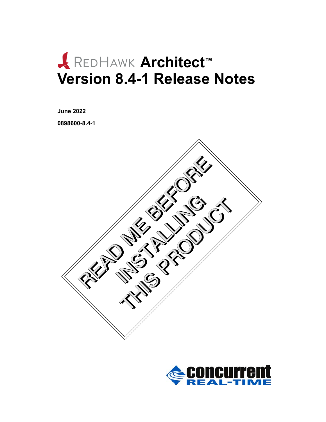# **AREDHAWK Architect™ Version 8.4-1 Release Notes**

**June 2022**

**0898600-8.4-1**



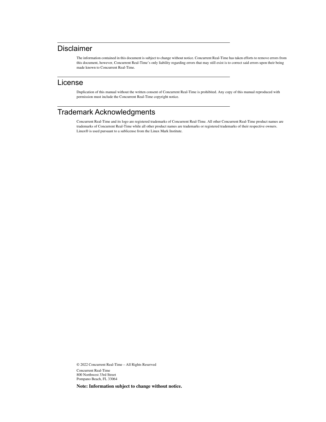### **Disclaimer**

The information contained in this document is subject to change without notice. Concurrent Real-Time has taken efforts to remove errors from this document, however, Concurrent Real-Time's only liability regarding errors that may still exist is to correct said errors upon their being made known to Concurrent Real-Time.

### License

Duplication of this manual without the written consent of Concurrent Real-Time is prohibited. Any copy of this manual reproduced with permission must include the Concurrent Real-Time copyright notice.

### Trademark Acknowledgments

Concurrent Real-Time and its logo are registered trademarks of Concurrent Real-Time. All other Concurrent Real-Time product names are trademarks of Concurrent Real-Time while all other product names are trademarks or registered trademarks of their respective owners. Linux® is used pursuant to a sublicense from the Linux Mark Institute.

© 2022 Concurrent Real-Time – All Rights Reserved Concurrent Real-Time 800 Northwest 33rd Street Pompano Beach, FL 33064

**Note: Information subject to change without notice.**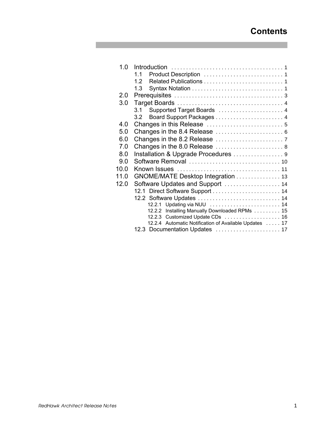# **Contents**

| 1.0  |                                                       |
|------|-------------------------------------------------------|
|      | 11                                                    |
|      | 12                                                    |
|      | 1.3                                                   |
| 2.0  |                                                       |
| 3.0  |                                                       |
|      | Supported Target Boards  4<br>3.1                     |
|      | 3.2 <sub>1</sub>                                      |
| 4.0  |                                                       |
| 5.0  |                                                       |
| 6.0  |                                                       |
| 7.0  | Changes in the 8.0 Release  8                         |
| 8.0  | Installation & Upgrade Procedures 9                   |
| 9.0  |                                                       |
| 10.0 |                                                       |
| 11.0 | GNOME/MATE Desktop Integration  13                    |
| 12.0 | Software Updates and Support  14                      |
|      | 12.1 Direct Software Support  14                      |
|      | 12.2 Software Updates  14                             |
|      | 12.2.1 Updating via NUU  14                           |
|      | Installing Manually Downloaded RPMs 15<br>12.2.2      |
|      | Customized Update CDs  16<br>12.2.3                   |
|      | 12.2.4 Automatic Notification of Available Updates 17 |
|      | 12.3 Documentation Updates  17                        |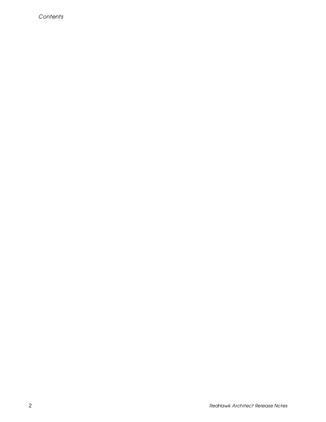*Contents*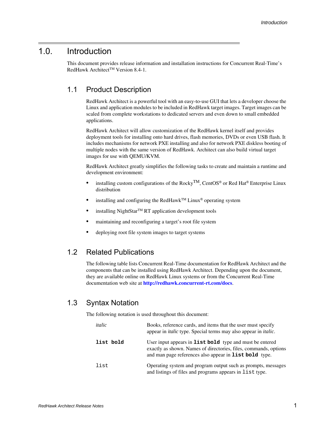# <span id="page-4-0"></span>1.0. Introduction

This document provides release information and installation instructions for Concurrent Real-Time's RedHawk Architect<sup>™</sup> Version 8.4-1.

### <span id="page-4-1"></span>1.1 Product Description

RedHawk Architect is a powerful tool with an easy-to-use GUI that lets a developer choose the Linux and application modules to be included in RedHawk target images. Target images can be scaled from complete workstations to dedicated servers and even down to small embedded applications.

RedHawk Architect will allow customization of the RedHawk kernel itself and provides deployment tools for installing onto hard drives, flash memories, DVDs or even USB flash. It includes mechanisms for network PXE installing and also for network PXE diskless booting of multiple nodes with the same version of RedHawk. Architect can also build virtual target images for use with QEMU/KVM.

RedHawk Architect greatly simplifies the following tasks to create and maintain a runtime and development environment:

- installing custom configurations of the Rocky<sup>TM</sup>, CentOS<sup>®</sup> or Red Hat<sup>®</sup> Enterprise Linux distribution
- **•** installing and configuring the RedHawkTM Linux® operating system
- **installing NightStar™ RT application development tools**
- **•** maintaining and reconfiguring a target's root file system
- **•** deploying root file system images to target systems

### <span id="page-4-2"></span>1.2 Related Publications

The following table lists Concurrent Real-Time documentation for RedHawk Architect and the components that can be installed using RedHawk Architect. Depending upon the document, they are available online on RedHawk Linux systems or from the Concurrent Real-Time documentation web site at **<http://redhawk.concurrent-rt.com/docs>**.

### <span id="page-4-3"></span>1.3 Syntax Notation

The following notation is used throughout this document:

| italic    | Books, reference cards, and items that the user must specify<br>appear in <i>italic</i> type. Special terms may also appear in <i>italic</i> .                                         |
|-----------|----------------------------------------------------------------------------------------------------------------------------------------------------------------------------------------|
| list bold | User input appears in list bold type and must be entered<br>exactly as shown. Names of directories, files, commands, options<br>and man page references also appear in list bold type. |
| list      | Operating system and program output such as prompts, messages<br>and listings of files and programs appears in list type.                                                              |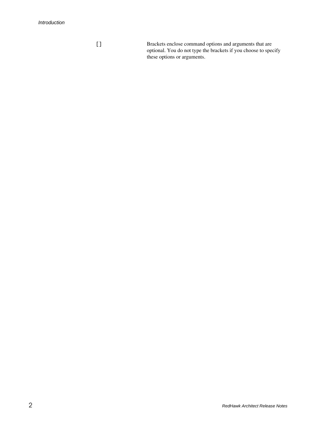[] Brackets enclose command options and arguments that are optional. You do not type the brackets if you choose to specify these options or arguments.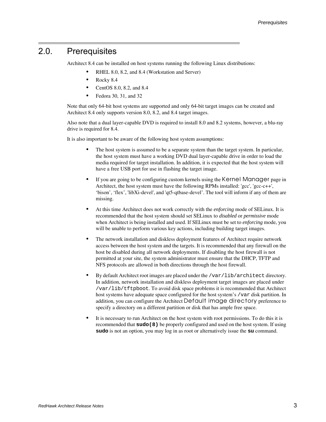# <span id="page-6-0"></span>2.0. Prerequisites

Architect 8.4 can be installed on host systems running the following Linux distributions:

- **•** RHEL 8.0, 8.2, and 8.4 (Workstation and Server)
- **•** Rocky 8.4
- **•** CentOS 8.0, 8.2, and 8.4
- **•** Fedora 30, 31, and 32

Note that only 64-bit host systems are supported and only 64-bit target images can be created and Architect 8.4 only supports version 8.0, 8.2, and 8.4 target images.

Also note that a dual layer-capable DVD is required to install 8.0 and 8.2 systems, however, a blu-ray drive is required for 8.4.

It is also important to be aware of the following host system assumptions:

- The host system is assumed to be a separate system than the target system. In particular, the host system must have a working DVD dual layer-capable drive in order to load the media required for target installation. In addition, it is expected that the host system will have a free USB port for use in flashing the target image.
- **•** If you are going to be configuring custom kernels using the Kernel Manager page in Architect, the host system must have the following RPMs installed: 'gcc', 'gcc-c++', 'bison', 'flex', 'libXi-devel', and 'qt5-qtbase-devel'. The tool will inform if any of them are missing.
- **•** At this time Architect does not work correctly with the *enforcing* mode of SELinux. It is recommended that the host system should set SELinux to *disabled* or *permissive* mode when Architect is being installed and used. If SELinux must be set to *enforcing* mode, you will be unable to perform various key actions, including building target images.
- **•** The network installation and diskless deployment features of Architect require network access between the host system and the targets. It is recommended that any firewall on the host be disabled during all network deployments. If disabling the host firewall is not permitted at your site, the system administrator must ensure that the DHCP, TFTP and NFS protocols are allowed in both directions through the host firewall.
- **•** By default Architect root images are placed under the /var/lib/architect directory. In addition, network installation and diskless deployment target images are placed under /var/lib/tftpboot. To avoid disk space problems it is recommended that Architect host systems have adequate space configured for the host system's /var disk partition. In addition, you can configure the Architect Default image directory preference to specify a directory on a different partition or disk that has ample free space.
- **•** It is necessary to run Architect on the host system with root permissions. To do this it is recommended that **sudo(8)** be properly configured and used on the host system. If using **sudo** is not an option, you may log in as root or alternatively issue the **su** command.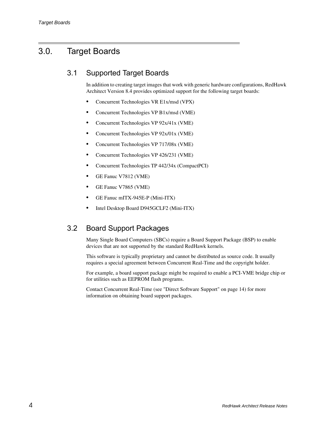# <span id="page-7-1"></span><span id="page-7-0"></span>3.0. Target Boards

# 3.1 Supported Target Boards

In addition to creating target images that work with generic hardware configurations, RedHawk Architect Version 8.4 provides optimized support for the following target boards:

- **•** Concurrent Technologies VR E1x/msd (VPX)
- **•** Concurrent Technologies VP B1x/msd (VME)
- **•** Concurrent Technologies VP 92x/41x (VME)
- **•** Concurrent Technologies VP 92x/01x (VME)
- **•** Concurrent Technologies VP 717/08x (VME)
- **•** Concurrent Technologies VP 426/231 (VME)
- **•** Concurrent Technologies TP 442/34x (CompactPCI)
- **•** GE Fanuc V7812 (VME)
- **•** GE Fanuc V7865 (VME)
- **•** GE Fanuc mITX-945E-P (Mini-ITX)
- **•** Intel Desktop Board D945GCLF2 (Mini-ITX)

### <span id="page-7-2"></span>3.2 Board Support Packages

Many Single Board Computers (SBCs) require a Board Support Package (BSP) to enable devices that are not supported by the standard RedHawk kernels.

This software is typically proprietary and cannot be distributed as source code. It usually requires a special agreement between Concurrent Real-Time and the copyright holder.

For example, a board support package might be required to enable a PCI-VME bridge chip or for utilities such as EEPROM flash programs.

Contact Concurrent Real-Time (see ["Direct Software Support" on page 14](#page-17-1)) for more information on obtaining board support packages.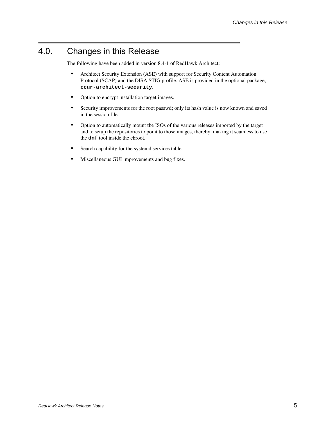# <span id="page-8-0"></span>4.0. Changes in this Release

The following have been added in version 8.4-1 of RedHawk Architect:

- **•** Architect Security Extension (ASE) with support for Security Content Automation Protocol (SCAP) and the DISA STIG profile. ASE is provided in the optional package, **ccur-architect-security**.
- **•** Option to encrypt installation target images.
- **•** Security improvements for the root passwd; only its hash value is now known and saved in the session file.
- **•** Option to automatically mount the ISOs of the various releases imported by the target and to setup the repositories to point to those images, thereby, making it seamless to use the **dnf** tool inside the chroot.
- **•** Search capability for the systemd services table.
- **•** Miscellaneous GUI improvements and bug fixes.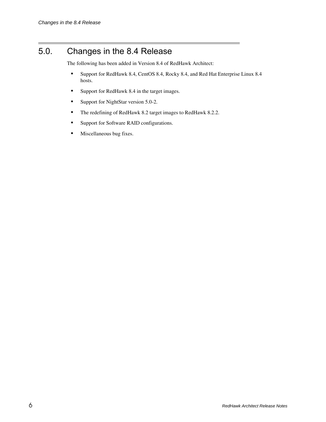# <span id="page-9-0"></span>5.0. Changes in the 8.4 Release

The following has been added in Version 8.4 of RedHawk Architect:

- **•** Support for RedHawk 8.4, CentOS 8.4, Rocky 8.4, and Red Hat Enterprise Linux 8.4 hosts.
- **•** Support for RedHawk 8.4 in the target images.
- **•** Support for NightStar version 5.0-2.
- **•** The redefining of RedHawk 8.2 target images to RedHawk 8.2.2.
- **•** Support for Software RAID configurations.
- **•** Miscellaneous bug fixes.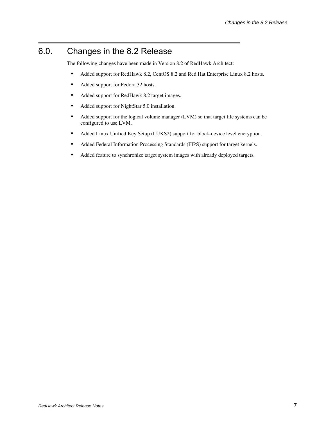# <span id="page-10-0"></span>6.0. Changes in the 8.2 Release

The following changes have been made in Version 8.2 of RedHawk Architect:

- **•** Added support for RedHawk 8.2, CentOS 8.2 and Red Hat Enterprise Linux 8.2 hosts.
- **•** Added support for Fedora 32 hosts.
- **•** Added support for RedHawk 8.2 target images.
- **•** Added support for NightStar 5.0 installation.
- **•** Added support for the logical volume manager (LVM) so that target file systems can be configured to use LVM.
- **•** Added Linux Unified Key Setup (LUKS2) support for block-device level encryption.
- **•** Added Federal Information Processing Standards (FIPS) support for target kernels.
- **•** Added feature to synchronize target system images with already deployed targets.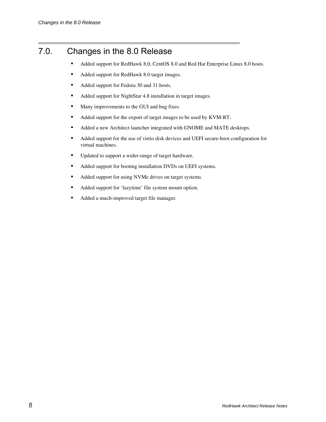# <span id="page-11-0"></span>7.0. Changes in the 8.0 Release

- **•** Added support for RedHawk 8.0, CentOS 8.0 and Red Hat Enterprise Linux 8.0 hosts.
- **•** Added support for RedHawk 8.0 target images.
- **•** Added support for Fedora 30 and 31 hosts.
- **•** Added support for NightStar 4.8 installation in target images.
- **•** Many improvements to the GUI and bug fixes.
- **•** Added support for the export of target images to be used by KVM-RT.
- **•** Added a new Architect launcher integrated with GNOME and MATE desktops.
- **•** Added support for the use of virtio disk devices and UEFI secure-boot configuration for virtual machines.
- **•** Updated to support a wider-range of target hardware.
- **•** Added support for booting installation DVDs on UEFI systems.
- **•** Added support for using NVMe drives on target systems.
- **•** Added support for 'lazytime' file system mount option.
- **•** Added a much-improved target file manager.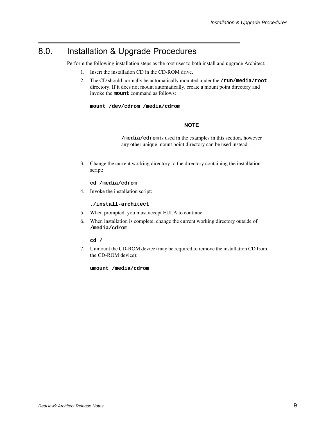# <span id="page-12-0"></span>8.0. Installation & Upgrade Procedures

Perform the following installation steps as the root user to both install and upgrade Architect:

- 1. Insert the installation CD in the CD-ROM drive.
- 2. The CD should normally be automatically mounted under the **/run/media/root** directory. If it does not mount automatically, create a mount point directory and invoke the **mount** command as follows:

**mount /dev/cdrom /media/cdrom**

#### **NOTE**

**/media/cdrom** is used in the examples in this section, however any other unique mount point directory can be used instead.

3. Change the current working directory to the directory containing the installation script:

#### **cd /media/cdrom**

4. Invoke the installation script:

#### **./install-architect**

- 5. When prompted, you must accept EULA to continue.
- 6. When installation is complete, change the current working directory outside of **/media/cdrom**:

**cd /**

7. Unmount the CD-ROM device (may be required to remove the installation CD from the CD-ROM device):

**umount /media/cdrom**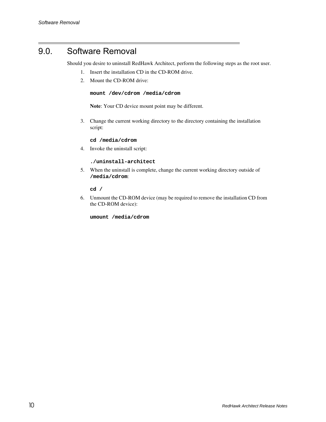# <span id="page-13-0"></span>9.0. Software Removal

Should you desire to uninstall RedHawk Architect, perform the following steps as the root user.

- 1. Insert the installation CD in the CD-ROM drive.
- 2. Mount the CD-ROM drive:

#### **mount /dev/cdrom /media/cdrom**

**Note**: Your CD device mount point may be different.

3. Change the current working directory to the directory containing the installation script:

#### **cd /media/cdrom**

4. Invoke the uninstall script:

#### **./uninstall-architect**

5. When the uninstall is complete, change the current working directory outside of **/media/cdrom**:

#### **cd /**

6. Unmount the CD-ROM device (may be required to remove the installation CD from the CD-ROM device):

**umount /media/cdrom**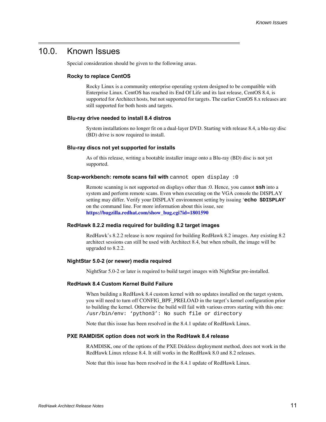## <span id="page-14-0"></span>10.0. Known Issues

Special consideration should be given to the following areas.

#### **Rocky to replace CentOS**

Rocky Linux is a community enterprise operating system designed to be compatible with Enterprise Linux. CentOS has reached its End Of Life and its last release, CentOS 8.4, is supported for Architect hosts, but not supported for targets. The earlier CentOS 8.x releases are still supported for both hosts and targets.

#### **Blu-ray drive needed to install 8.4 distros**

System installations no longer fit on a dual-layer DVD. Starting with release 8.4, a blu-ray disc (BD) drive is now required to install.

#### **Blu-ray discs not yet supported for installs**

As of this release, writing a bootable installer image onto a Blu-ray (BD) disc is not yet supported.

#### **Scap-workbench: remote scans fail with** cannot open display :0

Remote scanning is not supported on displays other than :0. Hence, you cannot **ssh** into a system and perform remote scans. Even when executing on the VGA console the DISPLAY setting may differ. Verify your DISPLAY environment setting by issuing '**echo \$DISPLAY**' on the command line. For more information about this issue, see **[https://bugzilla.redhat.com/show\\_bug.cgi?id=1801590](https://bugzilla.redhat.com/show_bug.cgi?id=1801590)**

#### **RedHawk 8.2.2 media required for building 8.2 target images**

RedHawk's 8.2.2 release is now required for building RedHawk 8.2 images. Any existing 8.2 architect sessions can still be used with Architect 8.4, but when rebuilt, the image will be upgraded to 8.2.2.

#### **NightStar 5.0-2 (or newer) media required**

NightStar 5.0-2 or later is required to build target images with NightStar pre-installed.

#### **RedHawk 8.4 Custom Kernel Build Failure**

When building a RedHawk 8.4 custom kernel with no updates installed on the target system, you will need to turn off CONFIG\_BPF\_PRELOAD in the target's kernel configuration prior to building the kernel. Otherwise the build will fail with various errors starting with this one: /usr/bin/env: 'python3': No such file or directory

Note that this issue has been resolved in the 8.4.1 update of RedHawk Linux.

#### **PXE RAMDISK option does not work in the RedHawk 8.4 release**

RAMDISK, one of the options of the PXE Diskless deployment method, does not work in the RedHawk Linux release 8.4. It still works in the RedHawk 8.0 and 8.2 releases.

Note that this issue has been resolved in the 8.4.1 update of RedHawk Linux.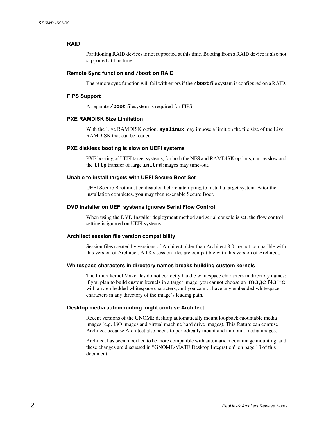#### **RAID**

Partitioning RAID devices is not supported at this time. Booting from a RAID device is also not supported at this time.

#### **Remote Sync function and /boot on RAID**

The remote sync function will fail with errors if the **/boot** file system is configured on a RAID.

#### **FIPS Support**

A separate **/boot** filesystem is required for FIPS.

#### **PXE RAMDISK Size Limitation**

With the Live RAMDISK option, **syslinux** may impose a limit on the file size of the Live RAMDISK that can be loaded.

#### **PXE diskless booting is slow on UEFI systems**

PXE booting of UEFI target systems, for both the NFS and RAMDISK options, can be slow and the **tftp** transfer of large **initrd** images may time-out.

#### **Unable to install targets with UEFI Secure Boot Set**

UEFI Secure Boot must be disabled before attempting to install a target system. After the installation completes, you may then re-enable Secure Boot.

#### **DVD installer on UEFI systems ignores Serial Flow Control**

When using the DVD Installer deployment method and serial console is set, the flow control setting is ignored on UEFI systems.

#### **Architect session file version compatibility**

Session files created by versions of Architect older than Architect 8.0 are not compatible with this version of Architect. All 8.x session files are compatible with this version of Architect.

#### **Whitespace characters in directory names breaks building custom kernels**

The Linux kernel Makefiles do not correctly handle whitespace characters in directory names; if you plan to build custom kernels in a target image, you cannot choose an Image Name with any embedded whitespace characters, and you cannot have any embedded whitespace characters in any directory of the image's leading path.

#### **Desktop media automounting might confuse Architect**

Recent versions of the GNOME desktop automatically mount loopback-mountable media images (e.g. ISO images and virtual machine hard drive images). This feature can confuse Architect because Architect also needs to periodically mount and unmount media images.

Architect has been modified to be more compatible with automatic media image mounting, and these changes are discussed in ["GNOME/MATE Desktop Integration" on page](#page-16-0) 13 of this document.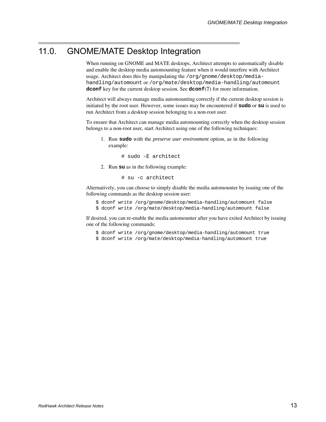# <span id="page-16-0"></span>11.0. GNOME/MATE Desktop Integration

When running on GNOME and MATE desktops, Architect attempts to automatically disable and enable the desktop media automounting feature when it would interfere with Architect usage. Architect does this by manipulating the /org/gnome/desktop/mediahandling/automount or /org/mate/desktop/media-handling/automount **dconf** key for the current desktop session. See **dconf**(7) for more information.

Architect will always manage media automounting correctly if the current desktop session is initiated by the root user. However, some issues may be encountered if **sudo** or **su** is used to run Architect from a desktop session belonging to a non-root user.

To ensure that Architect can manage media automounting correctly when the desktop session belongs to a non-root user, start Architect using one of the following techniques:

1. Run **sudo** with the *preserve user environment* option, as in the following example:

# sudo -E architect

2. Run **su** as in the following example:

# su -c architect

Alternatively, you can choose to simply disable the media automounter by issuing one of the following commands as the desktop session user:

\$ dconf write /org/gnome/desktop/media-handling/automount false \$ dconf write /org/mate/desktop/media-handling/automount false

If desired, you can re-enable the media automounter after you have exited Architect by issuing one of the following commands:

- \$ dconf write /org/gnome/desktop/media-handling/automount true
- \$ dconf write /org/mate/desktop/media-handling/automount true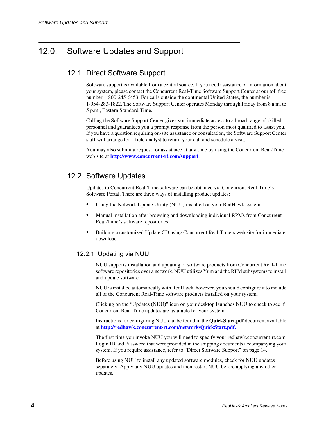# <span id="page-17-1"></span><span id="page-17-0"></span>12.0. Software Updates and Support

## 12.1 Direct Software Support

Software support is available from a central source. If you need assistance or information about your system, please contact the Concurrent Real-Time Software Support Center at our toll free number 1-800-245-6453. For calls outside the continental United States, the number is 1-954-283-1822. The Software Support Center operates Monday through Friday from 8 a.m. to 5 p.m., Eastern Standard Time.

Calling the Software Support Center gives you immediate access to a broad range of skilled personnel and guarantees you a prompt response from the person most qualified to assist you. If you have a question requiring on-site assistance or consultation, the Software Support Center staff will arrange for a field analyst to return your call and schedule a visit.

You may also submit a request for assistance at any time by using the Concurrent Real-Time web site at **<http://www.concurrent-rt.com/support>**.

### <span id="page-17-2"></span>12.2 Software Updates

Updates to Concurrent Real-Time software can be obtained via Concurrent Real-Time's Software Portal. There are three ways of installing product updates:

- **•** Using the Network Update Utility (NUU) installed on your RedHawk system
- **•** Manual installation after browsing and downloading individual RPMs from Concurrent Real-Time's software repositories
- **•** Building a customized Update CD using Concurrent Real-Time's web site for immediate download

### <span id="page-17-3"></span>12.2.1 Updating via NUU

NUU supports installation and updating of software products from Concurrent Real-Time software repositories over a network. NUU utilizes Yum and the RPM subsystems to install and update software.

NUU is installed automatically with RedHawk, however, you should configure it to include all of the Concurrent Real-Time software products installed on your system.

Clicking on the "Updates (NUU)" icon on your desktop launches NUU to check to see if Concurrent Real-Time updates are available for your system.

Instructions for configuring NUU can be found in the **QuickStart.pdf** document available at **[http://redhawk.concurrent-rt.com/network/QuickStart.pdf.](http://redhawk.concurrent-rt.com/network/QuickStart.pdf)**

The first time you invoke NUU you will need to specify your redhawk.concurrent-rt.com Login ID and Password that were provided in the shipping documents accompanying your system. If you require assistance, refer to ["Direct Software Support" on page](#page-17-1) 14.

Before using NUU to install any updated software modules, check for NUU updates separately. Apply any NUU updates and then restart NUU before applying any other updates.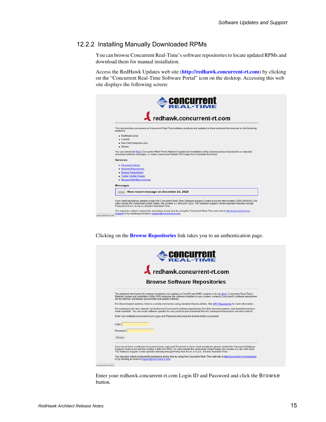### <span id="page-18-0"></span>12.2.2 Installing Manually Downloaded RPMs

You can browse Concurrent Real-Time's software repositories to locate updated RPMs and download them for manual installation.

Access the RedHawk Updates web site (**<http://redhawk.concurrent-rt.com>**) by clicking on the "Concurrent Real-Time Software Portal" icon on the desktop. Accessing this web site displays the following screen:

|                   | <b>CONCUTTENT</b>                                                                                                                                                                                                                                                                                                             |
|-------------------|-------------------------------------------------------------------------------------------------------------------------------------------------------------------------------------------------------------------------------------------------------------------------------------------------------------------------------|
|                   | redhawk.concurrent-rt.com                                                                                                                                                                                                                                                                                                     |
|                   | This site provides you access to Concurrent Real-Time software products and updates to those products that execute on the following<br>platforms:                                                                                                                                                                             |
|                   | - RedHawk Linux                                                                                                                                                                                                                                                                                                               |
|                   | CentOS                                                                                                                                                                                                                                                                                                                        |
|                   | Red Hat Enterprise Linux                                                                                                                                                                                                                                                                                                      |
|                   | $\blacksquare$ Ubuntu                                                                                                                                                                                                                                                                                                         |
|                   | You can download NUU, Concurrent Real-Time's Network Update and Installation utility, browse product repositories to manually<br>download software packages, or create customized Update CD images for immediate download.                                                                                                    |
|                   | Services:                                                                                                                                                                                                                                                                                                                     |
|                   | <b>Document Library</b>                                                                                                                                                                                                                                                                                                       |
|                   | - Network Repositories                                                                                                                                                                                                                                                                                                        |
|                   | <b>Browse Repositories</b>                                                                                                                                                                                                                                                                                                    |
|                   | Create Update Images                                                                                                                                                                                                                                                                                                          |
|                   | Manage NightStar Licenses                                                                                                                                                                                                                                                                                                     |
|                   | <b>Messages</b>                                                                                                                                                                                                                                                                                                               |
|                   | Most recent message on December 10, 2018<br>Show                                                                                                                                                                                                                                                                              |
|                   | If you need assistance, please contact the Concurrent Real-Time Software Support Center at our toll free number 1-800-245-6453. For<br>calls outside the continental United States, the number is 1-954-283-1822. The Software Support Center operates Monday through<br>Friday from 8 a.m. to 5 p.m., Eastern Standard Time. |
| concurrent-rt.com | You may also submit a request for assistance at any time by using the Concurrent Real-Time web site at http://concurrent-rt.com<br>/support or by sending an email to support@concurrent-rt.com.                                                                                                                              |

Clicking on the **[Browse Repositories](http://redhawk.concurrent-rt.com/browse
)** link takes you to an authentication page.

| <b>CONCUTTENT</b>                                                                                                                                                                                                                                                                                                                                                                        |  |
|------------------------------------------------------------------------------------------------------------------------------------------------------------------------------------------------------------------------------------------------------------------------------------------------------------------------------------------------------------------------------------------|--|
| redhawk.concurrent-rt.com                                                                                                                                                                                                                                                                                                                                                                |  |
| <b>Browse Software Repositories</b>                                                                                                                                                                                                                                                                                                                                                      |  |
| The preferred mechanism for network installation and update on CentOS and RHEL systems is to use NUU, Concurrent Real-Time's<br>Network Update and installation Utility. NUU analyzes the software installed on your system, contacts Concurrent's software repositories<br>via the Internet, and allows you to install and update software.                                             |  |
| For Ubuntu-based systems, there is a similar mechanism using standard Ubuntu utilities. See APT Repositories for more information.                                                                                                                                                                                                                                                       |  |
| For customers who lack network connections to Concurrent's software repositories from their secured systems, web-based browsing is<br>made available. You can locate software updates for your products and download them for subsequent transport to secured systems.                                                                                                                   |  |
| Enter your redhawk.concurrent-rt.com Login and Password and press the browse button to proceed:                                                                                                                                                                                                                                                                                          |  |
| Login:                                                                                                                                                                                                                                                                                                                                                                                   |  |
| Password:                                                                                                                                                                                                                                                                                                                                                                                |  |
| Browse                                                                                                                                                                                                                                                                                                                                                                                   |  |
| If you do not have a redhawk.concurrent-rt.com Login and Password or if you need assistance, please contact the Concurrent Software<br>Support Center at our toll free number 1-800-245-6453. For calls outside the continental United States, the number is 1-954-283-1822.<br>The Software Support Center operates Monday through Friday from 8 a.m. to 5 p.m., Eastern Standard Time. |  |
| You may also submit a request for assistance at any time by using the Concurrent Real-Time web site at http://concurrent-rt.com/support<br>or by sending an email to support@concurrent-rt.com.                                                                                                                                                                                          |  |
| concurrent-rt.com                                                                                                                                                                                                                                                                                                                                                                        |  |

Enter your redhawk.concurrent-rt.com Login ID and Password and click the Browse button.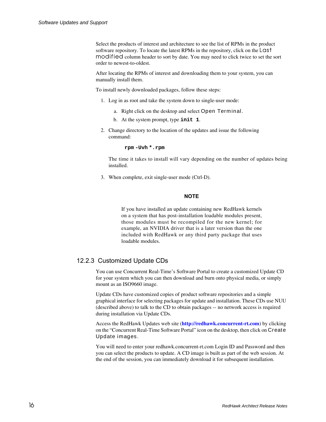Select the products of interest and architecture to see the list of RPMs in the product software repository. To locate the latest RPMs in the repository, click on the LQST modified column header to sort by date. You may need to click twice to set the sort order to newest-to-oldest.

After locating the RPMs of interest and downloading them to your system, you can manually install them.

To install newly downloaded packages, follow these steps:

- 1. Log in as root and take the system down to single-user mode:
	- a. Right click on the desktop and select Open Terminal.
	- b. At the system prompt, type **init 1**.
- 2. Change directory to the location of the updates and issue the following command:

**rpm -Uvh \*.rpm**

The time it takes to install will vary depending on the number of updates being installed.

3. When complete, exit single-user mode (Ctrl-D).

#### **NOTE**

If you have installed an update containing new RedHawk kernels on a system that has post-installation loadable modules present, those modules must be recompiled for the new kernel; for example, an NVIDIA driver that is a later version than the one included with RedHawk or any third party package that uses loadable modules.

#### <span id="page-19-0"></span>12.2.3 Customized Update CDs

You can use Concurrent Real-Time's Software Portal to create a customized Update CD for your system which you can then download and burn onto physical media, or simply mount as an ISO9660 image.

Update CDs have customized copies of product software repositories and a simple graphical interface for selecting packages for update and installation. These CDs use NUU (described above) to talk to the CD to obtain packages -- no network access is required during installation via Update CDs.

Access the RedHawk Updates web site (**<http://redhawk.concurrent-rt.com>**) by clicking on the "Concurrent Real-Time Software Portal" icon on the desktop, then click on Create Update images.

You will need to enter your redhawk.concurrent-rt.com Login ID and Password and then you can select the products to update. A CD image is built as part of the web session. At the end of the session, you can immediately download it for subsequent installation.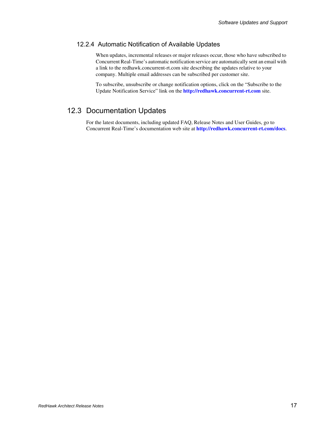### <span id="page-20-0"></span>12.2.4 Automatic Notification of Available Updates

When updates, incremental releases or major releases occur, those who have subscribed to Concurrent Real-Time's automatic notification service are automatically sent an email with a link to the redhawk.concurrent-rt.com site describing the updates relative to your company. Multiple email addresses can be subscribed per customer site.

To subscribe, unsubscribe or change notification options, click on the "Subscribe to the Update Notification Service" link on the **<http://redhawk.concurrent-rt.com>**site.

# <span id="page-20-1"></span>12.3 Documentation Updates

For the latest documents, including updated FAQ, Release Notes and User Guides, go to Concurrent Real-Time's documentation web site at **<http://redhawk.concurrent-rt.com/docs>**.